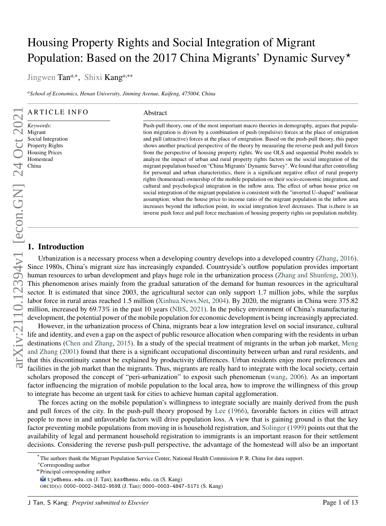# Housing Property Rights and Social Integration of Migrant Population: Based on the 2017 China Migrants' Dynamic Survey*<sup>⋆</sup>*

Jingwen Tan*<sup>a</sup>*,<sup>∗</sup> , Shixi Kang*<sup>a</sup>*,∗∗

*<sup>a</sup>School of Economics, Henan University, Jinming Avenue, Kaifeng, 475004, China*

#### ARTICLE INFO

*Keywords*: Migrant Social Integration Property Rights Housing Prices Homestead China

#### Abstract

Push-pull theory, one of the most important macro theories in demography, argues that population migration is driven by a combination of push (repulsive) forces at the place of emigration and pull (attractive) forces at the place of emigration. Based on the push-pull theory, this paper shows another practical perspective of the theory by measuring the reverse push and pull forces from the perspective of housing property rights. We use OLS and sequential Probit models to analyze the impact of urban and rural property rights factors on the social integration of the migrant population based on "China Migrants' Dynamic Survey". We found that after controlling for personal and urban characteristics, there is a significant negative effect of rural property rights (homestead) ownership of the mobile population on their socio-economic integration, and cultural and psychological integration in the inflow area. The effect of urban house price on social integration of the migrant population is consistent with the "inverted U-shaped" nonlinear assumption: when the house price to income ratio of the migrant population in the inflow area increases beyond the inflection point, its social integration level decreases. That is,there is an inverse push force and pull force mechanism of housing property rights on population mobility.

# **1. Introduction**

Urbanization is a necessary process when a developing country develops into a developed country [\(Zhang,](#page-11-0) [2016\)](#page-11-0). Since 1980s, China's migrant size has increasingly expanded. Countryside's outflow population provides important human resources to urban development and plays huge role in the urbanization process [\(Zhang and Shunfeng,](#page-11-1) [2003\)](#page-11-1). This phenomenon arises mainly from the gradual saturation of the demand for human resources in the agricultural sector. It is estimated that since 2003, the agricultural sector can only support 1.7 million jobs, while the surplus labor force in rural areas reached 1.5 million [\(Xinhua.News.Net,](#page-11-2) [2004\)](#page-11-2). By 2020, the migrants in China were 375.82 million, increased by 69.73% in the past 10 years [\(NBS,](#page-11-3) [2021\)](#page-11-3). In the policy environment of China's manufacturing development, the potential power of the mobile population for economic development is being increasingly appreciated.

However, in the urbanization process of China, migrants bear a low integration level on social insurance, cultural life and identity, and even a gap on the aspect of public resource allocation when comparing with the residents in urban destinations [\(Chen and Zhang,](#page-11-4) [2015\)](#page-11-4). In a study of the special treatment of migrants in the urban job market, [Meng](#page-11-5) [and Zhang](#page-11-5) [\(2001\)](#page-11-5) found that there is a significant occupational discontinuity between urban and rural residents, and that this discontinuity cannot be explained by productivity differences. Urban residents enjoy more preferences and facilities in the job market than the migrants. Thus, migrants are really hard to integrate with the local society, certain scholars proposed the concept of "peri-urbanization" to exposit such phenomenan [\(wang,](#page-11-6) [2006\)](#page-11-6). As an important factor influencing the migration of mobile population to the local area, how to improve the willingness of this group to integrate has become an urgent task for cities to achieve human capital agglomeration.

The forces acting on the mobile population's willingness to integrate socially are mainly derived from the push and pull forces of the city. In the push-pull theory proposed by [Lee](#page-11-7) [\(1966\)](#page-11-7), favorable factors in cities will attract people to move in and unfavorable factors will drive population loss. A view that is gaining ground is that the key factor preventing mobile populations from moving in is household registration, and [Solinger](#page-11-8) [\(1999\)](#page-11-8) points out that the availability of legal and permanent household registration to immigrants is an important reason for their settlement decisions. Considering the reverse push-pull perspective, the advantage of the homestead will also be an important

*<sup>⋆</sup>* The authors thank the Migrant Population Service Center, National Health Commission P. R. China for data support.

<sup>∗</sup>Corresponding author

<sup>∗∗</sup>Principal corresponding author

tjw@henu.edu.cn (J. Tan); ksx@henu.edu.cn (S. Kang)

ORCID(s): 0000-0002-3452-959X (J. Tan); 0000-0003-4847-5171 (S. Kang)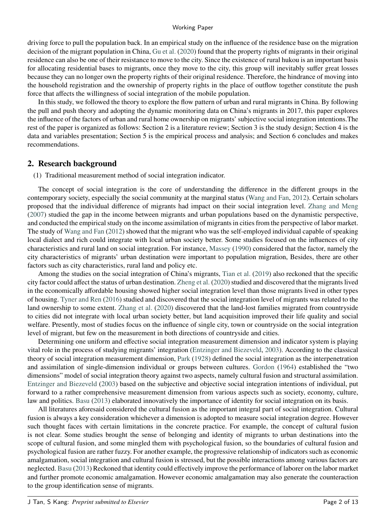#### Working Paper

driving force to pull the population back. In an empirical study on the influence of the residence base on the migration decision of the migrant population in China, [Gu et al.](#page-11-9) [\(2020\)](#page-11-9) found that the property rights of migrants in their original residence can also be one of their resistance to move to the city. Since the existence of rural hukou is an important basis for allocating residential bases to migrants, once they move to the city, this group will inevitably suffer great losses because they can no longer own the property rights of their original residence. Therefore, the hindrance of moving into the household registration and the ownership of property rights in the place of outflow together constitute the push force that affects the willingness of social integration of the mobile population.

In this study, we followed the theory to explore the flow pattern of urban and rural migrants in China. By following the pull and push theory and adopting the dynamic monitoring data on China's migrants in 2017, this paper explores the influence of the factors of urban and rural home ownership on migrants' subjective social integration intentions.The rest of the paper is organized as follows: Section 2 is a literature review; Section 3 is the study design; Section 4 is the data and variables presentation; Section 5 is the empirical process and analysis; and Section 6 concludes and makes recommendations.

# **2. Research background**

(1) Traditional measurement method of social integration indicator.

The concept of social integration is the core of understanding the difference in the different groups in the contemporary society, especially the social community at the marginal status [\(Wang and Fan,](#page-11-10) [2012\)](#page-11-10). Certain scholars proposed that the individual difference of migrants had impact on their social integration level. [Zhang and Meng](#page-11-11) [\(2007\)](#page-11-11) studied the gap in the income between migrants and urban populations based on the dynamistic perspective, and conducted the empirical study on the income assimilation of migrants in cities from the perspective of labor market. The study of [Wang and Fan](#page-11-10) [\(2012\)](#page-11-10) showed that the migrant who was the self-employed individual capable of speaking local dialect and rich could integrate with local urban society better. Some studies focused on the influences of city characteristics and rural land on social integration. For instance, [Massey](#page-11-12) [\(1990\)](#page-11-12) considered that the factor, namely the city characteristics of migrants' urban destination were important to population migration, Besides, there are other factors such as city characteristics, rural land and policy etc.

Among the studies on the social integration of China's migrants, [Tian et al.](#page-11-13) [\(2019\)](#page-11-13) also reckoned that the specific city factor could affect the status of urban destination. [Zheng et al.](#page-11-14) [\(2020\)](#page-11-14) studied and discovered that the migrants lived in the economically affordable housing showed higher social integration level than those migrants lived in other types of housing. [Tyner and Ren](#page-11-15) [\(2016\)](#page-11-15) studied and discovered that the social integration level of migrants was related to the land ownership to some extent. [Zhang et al.](#page-11-16) [\(2020\)](#page-11-16) discovered that the land-lost families migrated from countryside to cities did not integrate with local urban society better, but land acquisition improved their life quality and social welfare. Presently, most of studies focus on the influence of single city, town or countryside on the social integration level of migrant, but few on the measurement in both directions of countryside and cities.

Determining one uniform and effective social integration measurement dimension and indicator system is playing vital role in the process of studying migrants' integration [\(Entzinger and Biezeveld,](#page-11-17) [2003\)](#page-11-17). According to the classical theory of social integration measurement dimension, [Park](#page-11-18) [\(1928\)](#page-11-18) defined the social integration as the interpenetration and assimilation of single-dimension individual or groups between cultures. [Gordon](#page-11-19) [\(1964\)](#page-11-19) established the "two dimensions" model of social integration theory against two aspects, namely cultural fusion and structural assimilation. [Entzinger and Biezeveld](#page-11-17) [\(2003\)](#page-11-17) based on the subjective and objective social integration intentions of individual, put forward to a rather comprehensive measurement dimension from various aspects such as society, economy, culture, law and politics. [Basu](#page-11-20) [\(2013\)](#page-11-20) elaborated innovatively the importance of identity for social integration on its basis.

All literatures aforesaid considered the cultural fusion as the important integral part of social integration. Cultural fusion is always a key consideration whichever a dimension is adopted to measure social integration degree. However such thought faces with certain limitations in the concrete practice. For example, the concept of cultural fusion is not clear. Some studies brought the sense of belonging and identity of migrants to urban destinations into the scope of cultural fusion, and some mingled them with psychological fusion, so the boundaries of cultural fusion and psychological fusion are rather fuzzy. For another example, the progressive relationship of indicators such as economic amalgamation, social integration and cultural fusion is stressed, but the possible interactions among various factors are neglected. [Basu](#page-11-20) [\(2013\)](#page-11-20) Reckoned that identity could effectively improve the performance of laborer on the labor market and further promote economic amalgamation. However economic amalgamation may also generate the counteraction to the group identification sense of migrants.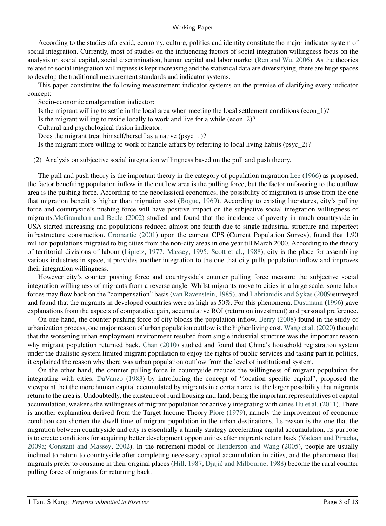#### Working Paper

According to the studies aforesaid, economy, culture, politics and identity constitute the major indicator system of social integration. Currently, most of studies on the influencing factors of social integration willingness focus on the analysis on social capital, social discrimination, human capital and labor market [\(Ren and Wu,](#page-11-21) [2006\)](#page-11-21). As the theories related to social integration willingness is kept increasing and the statistical data are diversifying, there are huge spaces to develop the traditional measurement standards and indicator systems.

This paper constitutes the following measurement indicator systems on the premise of clarifying every indicator concept:

Socio-economic amalgamation indicator:

Is the migrant willing to settle in the local area when meeting the local settlement conditions (econ\_1)?

Is the migrant willing to reside locally to work and live for a while (econ\_2)?

Cultural and psychological fusion indicator:

Does the migrant treat himself/herself as a native (psyc\_1)?

Is the migrant more willing to work or handle affairs by referring to local living habits (psyc\_2)?

(2) Analysis on subjective social integration willingness based on the pull and push theory.

The pull and push theory is the important theory in the category of population migration[.Lee](#page-11-7) [\(1966\)](#page-11-7) as proposed, the factor benefiting population inflow in the outflow area is the pulling force, but the factor unfavoring to the outflow area is the pushing force. According to the neoclassical economics, the possibility of migration is arose from the one that migration benefit is higher than migration cost [\(Bogue,](#page-11-22) [1969\)](#page-11-22). According to existing literatures, city's pulling force and countryside's pushing force will have positive impact on the subjective social integration willingness of migrants[.McGranahan and Beale](#page-11-23) [\(2002\)](#page-11-23) studied and found that the incidence of poverty in much countryside in USA started increasing and populations reduced almost one fourth due to single industrial structure and imperfect infrastructure construction. [Cromartie](#page-11-24) [\(2001\)](#page-11-24) upon the current CPS (Current Population Survey), found that 1.90 million populations migrated to big cities from the non-city areas in one year till March 2000. According to the theory of territorial divisions of labour [\(Lipietz,](#page-11-25) [1977;](#page-11-25) [Massey,](#page-11-26) [1995;](#page-11-26) [Scott et al.,](#page-11-27) [1988\)](#page-11-27), city is the place for assembling various industries in space, it provides another integration to the one that city pulls population inflow and improves their integration willingness.

However city's counter pushing force and countryside's counter pulling force measure the subjective social integration willingness of migrants from a reverse angle. Whilst migrants move to cities in a large scale, some labor forces may flow back on the "compensation" basis [\(van Ravenstein,](#page-11-28) [1985\)](#page-11-28), and [Labrianidis and Sykas](#page-11-29) [\(2009\)](#page-11-29)surveyed and found that the migrants in developed countries were as high as 50%. For this phenomena, [Dustmann](#page-11-30) [\(1996\)](#page-11-30) gave explanations from the aspects of comparative gain, accumulative ROI (return on investment) and personal preference.

On one hand, the counter pushing force of city blocks the population inflow. [Berry](#page-11-31) [\(2008\)](#page-11-31) found in the study of urbanization process, one major reason of urban population outflow is the higher living cost. [Wang et al.](#page-11-32) [\(2020\)](#page-11-32) thought that the worsening urban employment environment resulted from single industrial structure was the important reason why migrant population returned back. [Chan](#page-11-33) [\(2010\)](#page-11-33) studied and found that China's household registration system under the dualistic system limited migrant population to enjoy the rights of public services and taking part in politics, it explained the reason why there was urban population outflow from the level of institutional system.

On the other hand, the counter pulling force in countryside reduces the willingness of migrant population for integrating with cities. [DaVanzo](#page-11-34) [\(1983\)](#page-11-34) by introducing the concept of "location specific capital", proposed the viewpoint that the more human capital accumulated by migrants in a certain area is, the larger possibility that migrants return to the area is. Undoubtedly, the existence of rural housing and land, being the important representatives of capital accumulation, weakens the willingness of migrant population for actively integrating with cities [Hu et al.](#page-11-35) [\(2011\)](#page-11-35). There is another explanation derived from the Target Income Theory [Piore](#page-11-36) [\(1979\)](#page-11-36), namely the improvement of economic condition can shorten the dwell time of migrant population in the urban destinations. Its reason is the one that the migration between countryside and city is essentially a family strategy accelerating capital accumulation, its purpose is to create conditions for acquiring better development opportunities after migrants return back [\(Vadean and Piracha,](#page-11-37) [2009a;](#page-11-37) [Constant and Massey,](#page-11-38) [2002\)](#page-11-38). In the retirement model of [Henderson and Wang](#page-11-39) [\(2005\)](#page-11-39), people are usually inclined to return to countryside after completing necessary capital accumulation in cities, and the phenomena that migrants prefer to consume in their original places [\(Hill,](#page-11-40) [1987;](#page-11-40) [Djajić and Milbourne,](#page-12-0) [1988\)](#page-12-0) become the rural counter pulling force of migrants for returning back.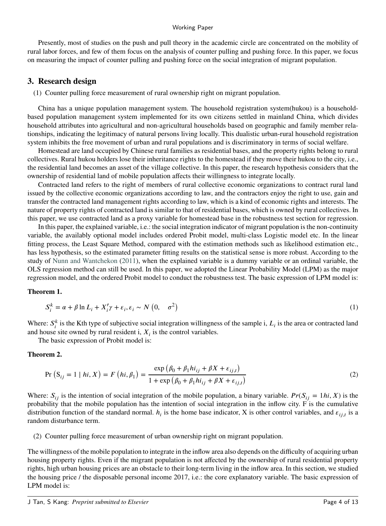#### Working Paper

Presently, most of studies on the push and pull theory in the academic circle are concentrated on the mobility of rural labor forces, and few of them focus on the analysis of counter pulling and pushing force. In this paper, we focus on measuring the impact of counter pulling and pushing force on the social integration of migrant population.

## **3. Research design**

(1) Counter pulling force measurement of rural ownership right on migrant population.

China has a unique population management system. The household registration system(hukou) is a householdbased population management system implemented for its own citizens settled in mainland China, which divides household attributes into agricultural and non-agricultural households based on geographic and family member relationships, indicating the legitimacy of natural persons living locally. This dualistic urban-rural household registration system inhibits the free movement of urban and rural populations and is discriminatory in terms of social welfare.

Homestead are land occupied by Chinese rural families as residential bases, and the property rights belong to rural collectives. Rural hukou holders lose their inheritance rights to the homestead if they move their hukou to the city, i.e., the residential land becomes an asset of the village collective. In this paper, the research hypothesis considers that the ownership of residential land of mobile population affects their willingness to integrate locally.

Contracted land refers to the right of members of rural collective economic organizations to contract rural land issued by the collective economic organizations according to law, and the contractors enjoy the right to use, gain and transfer the contracted land management rights according to law, which is a kind of economic rights and interests. The nature of property rights of contracted land is similar to that of residential bases, which is owned by rural collectives. In this paper, we use contracted land as a proxy variable for homestead base in the robustness test section for regression.

In this paper, the explained variable, i.e.: the social integration indicator of migrant population is the non-continuity variable, the availably optional model includes ordered Probit model, multi-class Logistic model etc. In the linear fitting process, the Least Square Method, compared with the estimation methods such as likelihood estimation etc., has less hypothesis, so the estimated parameter fitting results on the statistical sense is more robust. According to the study of [Nunn and Wantchekon](#page-12-1) [\(2011\)](#page-12-1), when the explained variable is a dummy variable or an ordinal variable, the OLS regression method can still be used. In this paper, we adopted the Linear Probability Model (LPM) as the major regression model, and the ordered Probit model to conduct the robustness test. The basic expression of LPM model is:

#### **Theorem 1.**

$$
S_i^k = \alpha + \beta \ln L_i + X_i' \gamma + \varepsilon_i, \varepsilon_i \sim N\left(0, \sigma^2\right)
$$
 (1)

Where:  $S_i^k$  is the Kth type of subjective social integration willingness of the sample i,  $L_i$  is the area or contracted land and house site owned by rural resident  $i$ ,  $X_i$  is the control variables.

The basic expression of Probit model is:

#### **Theorem 2.**

$$
\Pr(S_{ij} = 1 | hi, X) = F(hi, \beta_1) = \frac{\exp(\beta_0 + \beta_1 hi_{ij} + \beta X + \varepsilon_{ij,t})}{1 + \exp(\beta_0 + \beta_1 hi_{ij} + \beta X + \varepsilon_{ij,t})}
$$
(2)

Where:  $S_{ij}$  is the intention of social integration of the mobile population, a binary variable.  $Pr(S_{ij} = 1hi, X)$  is the probability that the mobile population has the intention of social integration in the inflow city. F is the cumulative distribution function of the standard normal.  $h_i$  is the home base indicator, X is other control variables, and  $\varepsilon_{ij,t}$  is a random disturbance term.

(2) Counter pulling force measurement of urban ownership right on migrant population.

The willingness of the mobile population to integrate in the inflow area also depends on the difficulty of acquiring urban housing property rights. Even if the migrant population is not affected by the ownership of rural residential property rights, high urban housing prices are an obstacle to their long-term living in the inflow area. In this section, we studied the housing price / the disposable personal income 2017, i.e.: the core explanatory variable. The basic expression of LPM model is: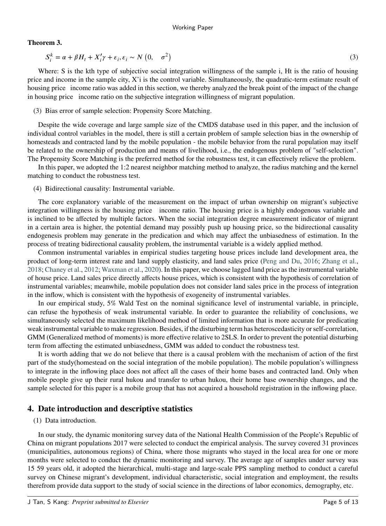## **Theorem 3.**

$$
S_i^k = \alpha + \beta H_t + X_i' \gamma + \varepsilon_i, \varepsilon_i \sim N\left(0, \sigma^2\right)
$$
\n<sup>(3)</sup>

Where: S is the kth type of subjective social integration willingness of the sample i, Ht is the ratio of housing price and income in the sample city, X'i is the control variable. Simultaneously, the quadratic-term estimate result of housing price income ratio was added in this section, we thereby analyzed the break point of the impact of the change in housing price income ratio on the subjective integration willingness of migrant population.

## (3) Bias error of sample selection: Propensity Score Matching.

Despite the wide coverage and large sample size of the CMDS database used in this paper, and the inclusion of individual control variables in the model, there is still a certain problem of sample selection bias in the ownership of homesteads and contracted land by the mobile population - the mobile behavior from the rural population may itself be related to the ownership of production and means of livelihood, i.e., the endogenous problem of "self-selection". The Propensity Score Matching is the preferred method for the robustness test, it can effectively relieve the problem.

In this paper, we adopted the 1:2 nearest neighbor matching method to analyze, the radius matching and the kernel matching to conduct the robustness test.

## (4) Bidirectional causality: Instrumental variable.

The core explanatory variable of the measurement on the impact of urban ownership on migrant's subjective integration willingness is the housing price income ratio. The housing price is a highly endogenous variable and is inclined to be affected by multiple factors. When the social integration degree measurement indicator of migrant in a certain area is higher, the potential demand may possibly push up housing price, so the bidirectional causality endogenesis problem may generate in the predication and which may affect the unbiasedness of estimation. In the process of treating bidirectional causality problem, the instrumental variable is a widely applied method.

Common instrumental variables in empirical studies targeting house prices include land development area, the product of long-term interest rate and land supply elasticity, and land sales price [\(Peng and Du,](#page-12-2) [2016;](#page-12-2) [Zhang et al.,](#page-12-3) [2018;](#page-12-3) [Chaney et al.,](#page-12-4) [2012;](#page-12-4) [Waxman et al.,](#page-12-5) [2020\)](#page-12-5). In this paper, we choose lagged land price as the instrumental variable of house price. Land sales price directly affects house prices, which is consistent with the hypothesis of correlation of instrumental variables; meanwhile, mobile population does not consider land sales price in the process of integration in the inflow, which is consistent with the hypothesis of exogeneity of instrumental variables.

In our empirical study, 5% Wald Test on the nominal significance level of instrumental variable, in principle, can refuse the hypothesis of weak instrumental variable. In order to guarantee the reliability of conclusions, we simultaneously selected the maximum likelihood method of limited information that is more accurate for predicating weak instrumental variable to make regression. Besides, if the disturbing term has heteroscedasticity or self-correlation, GMM (Generalized method of moments) is more effective relative to 2SLS. In order to prevent the potential disturbing term from affecting the estimated unbiasedness, GMM was added to conduct the robustness test.

It is worth adding that we do not believe that there is a causal problem with the mechanism of action of the first part of the study(homestead on the social integration of the mobile population). The mobile population's willingness to integrate in the inflowing place does not affect all the cases of their home bases and contracted land. Only when mobile people give up their rural hukou and transfer to urban hukou, their home base ownership changes, and the sample selected for this paper is a mobile group that has not acquired a household registration in the inflowing place.

# **4. Date introduction and descriptive statistics**

## (1) Data introduction.

In our study, the dynamic monitoring survey data of the National Health Commission of the People's Republic of China on migrant populations 2017 were selected to conduct the empirical analysis. The survey covered 31 provinces (municipalities, autonomous regions) of China, where those migrants who stayed in the local area for one or more months were selected to conduct the dynamic monitoring and survey. The average age of samples under survey was 15 59 years old, it adopted the hierarchical, multi-stage and large-scale PPS sampling method to conduct a careful survey on Chinese migrant's development, individual characteristic, social integration and employment, the results therefrom provide data support to the study of social science in the directions of labor economics, demography, etc.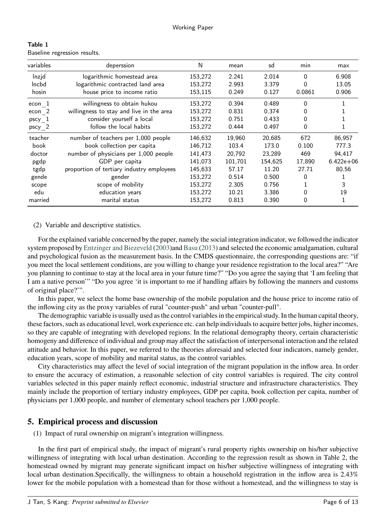| Table 1 |                              |  |
|---------|------------------------------|--|
|         | Baseline regression results. |  |

| variables | deperssion                                | N       | mean    | sd      | min      | max           |
|-----------|-------------------------------------------|---------|---------|---------|----------|---------------|
| Inzid     | logarithmic homestead area                | 153,272 | 2.241   | 2.014   | 0        | 6.908         |
| Incbd     | logarithmic contracted land area          | 153,272 | 2.993   | 3.379   | 0        | 13.05         |
| hosin     | house price to income ratio               | 153,115 | 0.249   | 0.127   | 0.0861   | 0.906         |
| econ 1    | willingness to obtain hukou               | 153,272 | 0.394   | 0.489   | 0        |               |
| econ 2    | willingness to stay and live in the area  | 153,272 | 0.831   | 0.374   | 0        |               |
| pscy 1    | consider yourself a local                 | 153,272 | 0.751   | 0.433   | 0        |               |
| pscy 2    | follow the local habits                   | 153,272 | 0.444   | 0.497   | $\Omega$ |               |
| teacher   | number of teachers per 1,000 people       | 146,632 | 19,960  | 20,685  | 672      | 86,957        |
| book      | book collection per capita                | 146,712 | 103.4   | 173.0   | 0.100    | 777.3         |
| doctor    | number of physicians per 1,000 people     | 141,473 | 20,792  | 23,289  | 469      | 94,417        |
| pgdp      | GDP per capita                            | 141,073 | 101,701 | 154,625 | 17,890   | $6.422e + 06$ |
| tgdp      | proportion of tertiary industry employees | 145,633 | 57.17   | 11.20   | 27.71    | 80.56         |
| gende     | gender                                    | 153,272 | 0.514   | 0.500   | 0        |               |
| scope     | scope of mobility                         | 153,272 | 2.305   | 0.756   |          | 3             |
| edu       | education years                           | 153,272 | 10.21   | 3.386   | 0        | 19            |
| married   | marital status                            | 153,272 | 0.813   | 0.390   | 0        |               |

(2) Variable and descriptive statistics.

For the explained variable concerned by the paper, namely the social integration indicator, we followed the indicator system proposed by [Entzinger and Biezeveld](#page-11-17) [\(2003\)](#page-11-17)and [Basu](#page-11-20) [\(2013\)](#page-11-20) and selected the economic amalgamation, cultural and psychological fusion as the measurement basis. In the CMDS questionnaire, the corresponding questions are: "if you meet the local settlement conditions, are you willing to change your residence registration to the local area?" "Are you planning to continue to stay at the local area in your future time?" "Do you agree the saying that 'I am feeling that I am a native person'" "Do you agree 'it is important to me if handling affairs by following the manners and customs of original place?'".

In this paper, we select the home base ownership of the mobile population and the house price to income ratio of the inflowing city as the proxy variables of rural "counter-push" and urban "counter-pull".

The demographic variable is usually used as the control variables in the empirical study. In the human capital theory, these factors, such as educational level, work experience etc. can help individuals to acquire better jobs, higher incomes, so they are capable of integrating with developed regions. In the relational demography theory, certain characteristic homogeny and difference of individual and group may affect the satisfaction of interpersonal interaction and the related attitude and behavior. In this paper, we referred to the theories aforesaid and selected four indicators, namely gender, education years, scope of mobility and marital status, as the control variables.

City characteristics may affect the level of social integration of the migrant population in the inflow area. In order to ensure the accuracy of estimation, a reasonable selection of city control variables is required. The city control variables selected in this paper mainly reflect economic, industrial structure and infrastructure characteristics. They mainly include the proportion of tertiary industry employees, GDP per capita, book collection per capita, number of physicians per 1,000 people, and number of elementary school teachers per 1,000 people.

# **5. Empirical process and discussion**

(1) Impact of rural ownership on migrant's integration willingness.

In the first part of empirical study, the impact of migrant's rural property rights ownership on his/her subjective willingness of integrating with local urban destination. According to the regression result as shown in Table 2, the homestead owned by migrant may generate significant impact on his/her subjective willingness of integrating with local urban destination.Specifically, the willingness to obtain a household registration in the inflow area is 2.43% lower for the mobile population with a homestead than for those without a homestead, and the willingness to stay is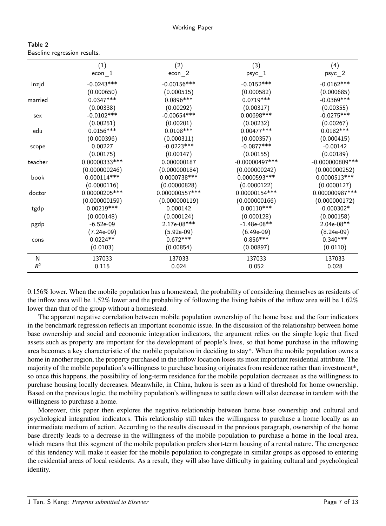| Table 2 |                              |  |
|---------|------------------------------|--|
|         | Baseline regression results. |  |

|         | (1)            | (2)            | (3)               | (4)                |
|---------|----------------|----------------|-------------------|--------------------|
|         | $econ_{-}1$    | $econ_{2}$     | $psyc_1$          | $psyc_2$           |
| Inzjd   | $-0.0243***$   | $-0.00156***$  | $-0.0152***$      | $-0.0162***$       |
|         | (0.000650)     | (0.000515)     | (0.000582)        | (0.000685)         |
| married | $0.0347***$    | 0.0896 ***     | $0.0719***$       | $-0.0369***$       |
|         | (0.00338)      | (0.00292)      | (0.00317)         | (0.00355)          |
| sex     | $-0.0102***$   | $-0.00654***$  | 0.00698***        | $-0.0275***$       |
|         | (0.00251)      | (0.00201)      | (0.00232)         | (0.00267)          |
| edu     | $0.0156***$    | $0.0108***$    | $0.00477***$      | $0.0182***$        |
|         | (0.000396)     | (0.000311)     | (0.000357)        | (0.000415)         |
| scope   | 0.00227        | $-0.0223***$   | $-0.0877***$      | $-0.00142$         |
|         | (0.00175)      | (0.00147)      | (0.00155)         | (0.00189)          |
| teacher | 0.00000333***  | 0.000000187    | $-0.00000497$ *** | $-0.000000809$ *** |
|         | (0.000000246)  | (0.000000184)  | (0.000000242)     | (0.000000252)      |
| book    | $0.000114***$  | 0.0000738 ***  | 0.0000593***      | 0.0000513 ***      |
|         | (0.0000116)    | (0.00000828)   | (0.0000122)       | (0.0000127)        |
| doctor  | 0.00000205 *** | 0.000000557*** | 0.00000154 ***    | 0.000000987***     |
|         | (0.000000159)  | (0.000000119)  | (0.000000166)     | (0.000000172)      |
| tgdp    | $0.00219***$   | 0.000142       | $0.00110***$      | $-0.000302*$       |
|         | (0.000148)     | (0.000124)     | (0.000128)        | (0.000158)         |
| pgdp    | $-6.52e-09$    | 2.17e-08***    | $-1.48e-08**$     | 2.04e-08**         |
|         | $(7.24e-09)$   | $(5.92e-09)$   | $(6.49e-09)$      | $(8.24e-09)$       |
| cons    | $0.0224**$     | $0.672***$     | $0.856***$        | $0.340***$         |
|         | (0.0103)       | (0.00854)      | (0.00897)         | (0.0110)           |
| N       | 137033         | 137033         | 137033            | 137033             |
| $R^2$   | 0.115          | 0.024          | 0.052             | 0.028              |

0.156% lower. When the mobile population has a homestead, the probability of considering themselves as residents of the inflow area will be 1.52% lower and the probability of following the living habits of the inflow area will be 1.62% lower than that of the group without a homestead.

The apparent negative correlation between mobile population ownership of the home base and the four indicators in the benchmark regression reflects an important economic issue. In the discussion of the relationship between home base ownership and social and economic integration indicators, the argument relies on the simple logic that fixed assets such as property are important for the development of people's lives, so that home purchase in the inflowing area becomes a key characteristic of the mobile population in deciding to stay\*. When the mobile population owns a home in another region, the property purchased in the inflow location loses its most important residential attribute. The majority of the mobile population's willingness to purchase housing originates from residence rather than investment\*, so once this happens, the possibility of long-term residence for the mobile population decreases as the willingness to purchase housing locally decreases. Meanwhile, in China, hukou is seen as a kind of threshold for home ownership. Based on the previous logic, the mobility population's willingness to settle down will also decrease in tandem with the willingness to purchase a home.

Moreover, this paper then explores the negative relationship between home base ownership and cultural and psychological integration indicators. This relationship still takes the willingness to purchase a home locally as an intermediate medium of action. According to the results discussed in the previous paragraph, ownership of the home base directly leads to a decrease in the willingness of the mobile population to purchase a home in the local area, which means that this segment of the mobile population prefers short-term housing of a rental nature. The emergence of this tendency will make it easier for the mobile population to congregate in similar groups as opposed to entering the residential areas of local residents. As a result, they will also have difficulty in gaining cultural and psychological identity.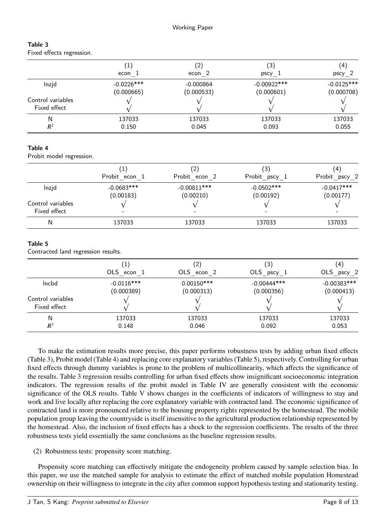| Table 3 |                           |
|---------|---------------------------|
|         | Fixed effects regression. |

|                                   | $\left(1\right)$ | (2)         | (3)            | 4            |
|-----------------------------------|------------------|-------------|----------------|--------------|
|                                   | econ 1           | econ 2      | pscy 1         | pscy 2       |
| Inzid                             | $-0.0226$ ***    | $-0.000864$ | $-0.00922$ *** | $-0.0125***$ |
|                                   | (0.000665)       | (0.000533)  | (0.000601)     | (0.000708)   |
| Control variables<br>Fixed effect |                  |             |                |              |
| N                                 | 137033           | 137033      | 137033         | 137033       |
| $R^2$                             | 0.150            | 0.045       | 0.093          | 0.055        |

## Table 4

Probit model regression.

|                                   | Probit econ 1             | 2<br>Probit econ 2         | (3)<br>Probit pscy 1       | $\left( 4 \right)$<br>Probit pscy 2 |
|-----------------------------------|---------------------------|----------------------------|----------------------------|-------------------------------------|
| Inzid                             | $-0.0683***$<br>(0.00183) | $-0.00811***$<br>(0.00210) | $-0.0502$ ***<br>(0.00192) | $-0.0417***$<br>(0.00177)           |
| Control variables<br>Fixed effect |                           |                            |                            |                                     |
| N                                 | 137033                    | 137033                     | 137033                     | 137033                              |

## Table 5

Contracted land regression results.

|                                   | 1            | $^{(2)}$     | (3)           | $\left( 4\right)$ |
|-----------------------------------|--------------|--------------|---------------|-------------------|
|                                   | OLS econ 1   | OLS econ 2   | OLS $pscy_1$  | OLS pscy 2        |
| Incbd                             | $-0.0116***$ | $0.00150***$ | $-0.00444***$ | $-0.00383$ ***    |
|                                   | (0.000389)   | (0.000313)   | (0.000356)    | (0.000413)        |
| Control variables<br>Fixed effect |              |              |               |                   |
| N                                 | 137033       | 137033       | 137033        | 137033            |
| $R^2$                             | 0.148        | 0.046        | 0.092         | 0.053             |

To make the estimation results more precise, this paper performs robustness tests by adding urban fixed effects (Table 3), Probit model (Table 4) and replacing core explanatory variables (Table 5), respectively. Controlling for urban fixed effects through dummy variables is prone to the problem of multicollinearity, which affects the significance of the results. Table 3 regression results controlling for urban fixed effects show insignificant socioeconomic integration indicators. The regression results of the probit model in Table IV are generally consistent with the economic significance of the OLS results. Table V shows changes in the coefficients of indicators of willingness to stay and work and live locally after replacing the core explanatory variable with contracted land. The economic significance of contracted land is more pronounced relative to the housing property rights represented by the homestead. The mobile population group leaving the countryside is itself insensitive to the agricultural production relationship represented by the homestead. Also, the inclusion of fixed effects has a shock to the regression coefficients. The results of the three robustness tests yield essentially the same conclusions as the baseline regression results.

(2) Robustness tests: propensity score matching.

Propensity score matching can effectively mitigate the endogeneity problem caused by sample selection bias. In this paper, we use the matched sample for analysis to estimate the effect of matched mobile population Homestead ownership on their willingness to integrate in the city after common support hypothesis testing and stationarity testing.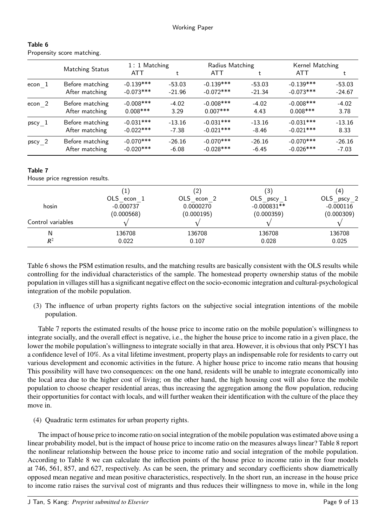|          |                        | 1: 1 Matching |          | Radius Matching |          | Kernel Matching |          |
|----------|------------------------|---------------|----------|-----------------|----------|-----------------|----------|
|          | <b>Matching Status</b> | <b>ATT</b>    |          | <b>ATT</b>      |          | <b>ATT</b>      | t        |
| econ 1   | Before matching        | $-0.139***$   | $-53.03$ | $-0.139***$     | $-53.03$ | $-0.139***$     | $-53.03$ |
|          | After matching         | $-0.073***$   | $-21.96$ | $-0.072$ ***    | $-21.34$ | $-0.073***$     | $-24.67$ |
| econ 2   | Before matching        | $-0.008***$   | $-4.02$  | $-0.008***$     | $-4.02$  | $-0.008$ ***    | $-4.02$  |
|          | After matching         | $0.008$ ***   | 3.29     | $0.007***$      | 4.43     | $0.008$ ***     | 3.78     |
| pscy 1   | Before matching        | $-0.031***$   | $-13.16$ | $-0.031***$     | $-13.16$ | $-0.031***$     | $-13.16$ |
|          | After matching         | $-0.022$ ***  | $-7.38$  | $-0.021***$     | $-8.46$  | $-0.021$ ***    | 8.33     |
| $pscy_2$ | Before matching        | $-0.070$ ***  | $-26.16$ | $-0.070$ ***    | $-26.16$ | $-0.070$ ***    | $-26.16$ |
|          | After matching         | $-0.020***$   | $-6.08$  | $-0.028$ ***    | $-6.45$  | $-0.026$ ***    | $-7.03$  |

Table 6 Propensity score matching.

# Table 7

House price regression results.

|                   | 1           | $\left( 2\right)$ | $\left(3\right)$ | (4)         |
|-------------------|-------------|-------------------|------------------|-------------|
|                   | OLS econ 1  | OLS econ 2        | OLS pscy 1       | OLS pscy 2  |
| hosin             | $-0.000737$ | 0.0000270         | $-0.000831**$    | $-0.000116$ |
|                   | (0.000568)  | (0.000195)        | (0.000359)       | (0.000309)  |
| Control variables |             |                   |                  |             |
| Ν                 | 136708      | 136708            | 136708           | 136708      |
| $R^2$             | 0.022       | 0.107             | 0.028            | 0.025       |

Table 6 shows the PSM estimation results, and the matching results are basically consistent with the OLS results while controlling for the individual characteristics of the sample. The homestead property ownership status of the mobile population in villages still has a significant negative effect on the socio-economic integration and cultural-psychological integration of the mobile population.

(3) The influence of urban property rights factors on the subjective social integration intentions of the mobile population.

Table 7 reports the estimated results of the house price to income ratio on the mobile population's willingness to integrate socially, and the overall effect is negative, i.e., the higher the house price to income ratio in a given place, the lower the mobile population's willingness to integrate socially in that area. However, it is obvious that only PSCY1 has a confidence level of 10%. As a vital lifetime investment, property plays an indispensable role for residents to carry out various development and economic activities in the future. A higher house price to income ratio means that housing This possibility will have two consequences: on the one hand, residents will be unable to integrate economically into the local area due to the higher cost of living; on the other hand, the high housing cost will also force the mobile population to choose cheaper residential areas, thus increasing the aggregation among the flow population, reducing their opportunities for contact with locals, and will further weaken their identification with the culture of the place they move in.

(4) Quadratic term estimates for urban property rights.

The impact of house price to income ratio on social integration of the mobile population was estimated above using a linear probability model, but is the impact of house price to income ratio on the measures always linear? Table 8 report the nonlinear relationship between the house price to income ratio and social integration of the mobile population. According to Table 8 we can calculate the inflection points of the house price to income ratio in the four models at 746, 561, 857, and 627, respectively. As can be seen, the primary and secondary coefficients show diametrically opposed mean negative and mean positive characteristics, respectively. In the short run, an increase in the house price to income ratio raises the survival cost of migrants and thus reduces their willingness to move in, while in the long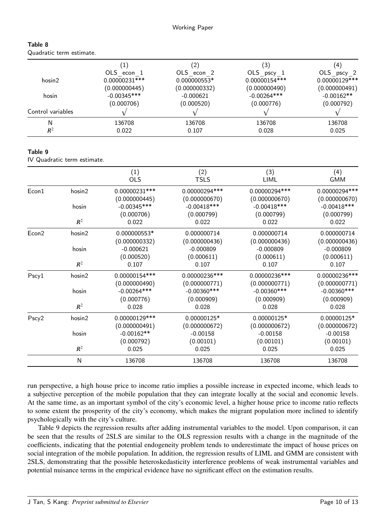|                   |                 | '2)           | $\left(3\right)$ | (4)            |
|-------------------|-----------------|---------------|------------------|----------------|
|                   | OLS econ 1      | OLS econ 2    | OLS $pscy_1$     | OLS pscy 2     |
| hosin2            | $0.00000231***$ | 0.000000553*  | 0.00000154***    | 0.00000129 *** |
|                   | (0.000000445)   | (0.000000332) | (0.000000490)    | (0.000000491)  |
| hosin             | $-0.00345***$   | $-0.000621$   | $-0.00264***$    | $-0.00162**$   |
|                   | (0.000706)      | (0.000520)    | (0.000776)       | (0.000792)     |
| Control variables |                 |               |                  |                |
| N                 | 136708          | 136708        | 136708           | 136708         |
| $R^2$             | 0.022           | 0.107         | 0.028            | 0.025          |
|                   |                 |               |                  |                |

#### Table 9

Table 8

Quadratic term estimate.

IV Quadratic term estimate.

|                   |        | (1)<br><b>OLS</b>                | (2)<br><b>TSLS</b>              | (3)<br>LIML                     | (4)<br><b>GMM</b>               |
|-------------------|--------|----------------------------------|---------------------------------|---------------------------------|---------------------------------|
| Econ1             | hosin2 | $0.00000231***$<br>(0.000000445) | 0.00000294 ***<br>(0.000000670) | 0.00000294 ***<br>(0.000000670) | 0.00000294 ***<br>(0.000000670) |
|                   | hosin  | $-0.00345***$                    | $-0.00418***$                   | $-0.00418$ ***                  | $-0.00418***$                   |
|                   |        | (0.000706)                       | (0.000799)                      | (0.000799)                      | (0.000799)                      |
|                   | $R^2$  | 0.022                            | 0.022                           | 0.022                           | 0.022                           |
| Econ <sub>2</sub> | hosin2 | 0.000000553*                     | 0.000000714                     | 0.000000714                     | 0.000000714                     |
|                   |        | (0.000000332)                    | (0.000000436)                   | (0.000000436)                   | (0.000000436)                   |
|                   | hosin  | $-0.000621$                      | $-0.000809$                     | $-0.000809$                     | $-0.000809$                     |
|                   |        | (0.000520)                       | (0.000611)                      | (0.000611)                      | (0.000611)                      |
|                   | $R^2$  | 0.107                            | 0.107                           | 0.107                           | 0.107                           |
| Pscy1             | hosin2 | 0.00000154***                    | $0.00000236***$                 | 0.00000236 ***                  | 0.00000236 ***                  |
|                   |        | (0.000000490)                    | (0.000000771)                   | (0.000000771)                   | (0.000000771)                   |
|                   | hosin  | $-0.00264***$                    | $-0.00360$ ***                  | $-0.00360$ ***                  | $-0.00360$ ***                  |
|                   |        | (0.000776)                       | (0.000909)                      | (0.000909)                      | (0.000909)                      |
|                   | $R^2$  | 0.028                            | 0.028                           | 0.028                           | 0.028                           |
| Pscy2             | hosin2 | 0.00000129 ***                   | 0.00000125*                     | 0.00000125*                     | 0.00000125*                     |
|                   |        | (0.000000491)                    | (0.000000672)                   | (0.000000672)                   | (0.000000672)                   |
|                   | hosin  | $-0.00162**$                     | $-0.00158$                      | $-0.00158$                      | $-0.00158$                      |
|                   |        | (0.000792)                       | (0.00101)                       | (0.00101)                       | (0.00101)                       |
|                   | $R^2$  | 0.025                            | 0.025                           | 0.025                           | 0.025                           |
|                   | N      | 136708                           | 136708                          | 136708                          | 136708                          |

run perspective, a high house price to income ratio implies a possible increase in expected income, which leads to a subjective perception of the mobile population that they can integrate locally at the social and economic levels. At the same time, as an important symbol of the city's economic level, a higher house price to income ratio reflects to some extent the prosperity of the city's economy, which makes the migrant population more inclined to identify psychologically with the city's culture.

Table 9 depicts the regression results after adding instrumental variables to the model. Upon comparison, it can be seen that the results of 2SLS are similar to the OLS regression results with a change in the magnitude of the coefficients, indicating that the potential endogeneity problem tends to underestimate the impact of house prices on social integration of the mobile population. In addition, the regression results of LIML and GMM are consistent with 2SLS, demonstrating that the possible heteroskedasticity interference problems of weak instrumental variables and potential nuisance terms in the empirical evidence have no significant effect on the estimation results.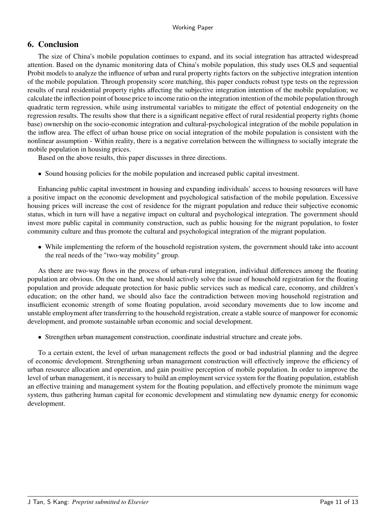# **6. Conclusion**

The size of China's mobile population continues to expand, and its social integration has attracted widespread attention. Based on the dynamic monitoring data of China's mobile population, this study uses OLS and sequential Probit models to analyze the influence of urban and rural property rights factors on the subjective integration intention of the mobile population. Through propensity score matching, this paper conducts robust type tests on the regression results of rural residential property rights affecting the subjective integration intention of the mobile population; we calculate the inflection point of house price to income ratio on the integration intention of the mobile population through quadratic term regression, while using instrumental variables to mitigate the effect of potential endogeneity on the regression results. The results show that there is a significant negative effect of rural residential property rights (home base) ownership on the socio-economic integration and cultural-psychological integration of the mobile population in the inflow area. The effect of urban house price on social integration of the mobile population is consistent with the nonlinear assumption - Within reality, there is a negative correlation between the willingness to socially integrate the mobile population in housing prices.

Based on the above results, this paper discusses in three directions.

• Sound housing policies for the mobile population and increased public capital investment.

Enhancing public capital investment in housing and expanding individuals' access to housing resources will have a positive impact on the economic development and psychological satisfaction of the mobile population. Excessive housing prices will increase the cost of residence for the migrant population and reduce their subjective economic status, which in turn will have a negative impact on cultural and psychological integration. The government should invest more public capital in community construction, such as public housing for the migrant population, to foster community culture and thus promote the cultural and psychological integration of the migrant population.

• While implementing the reform of the household registration system, the government should take into account the real needs of the "two-way mobility" group.

As there are two-way flows in the process of urban-rural integration, individual differences among the floating population are obvious. On the one hand, we should actively solve the issue of household registration for the floating population and provide adequate protection for basic public services such as medical care, economy, and children's education; on the other hand, we should also face the contradiction between moving household registration and insufficient economic strength of some floating population, avoid secondary movements due to low income and unstable employment after transferring to the household registration, create a stable source of manpower for economic development, and promote sustainable urban economic and social development.

• Strengthen urban management construction, coordinate industrial structure and create jobs.

To a certain extent, the level of urban management reflects the good or bad industrial planning and the degree of economic development. Strengthening urban management construction will effectively improve the efficiency of urban resource allocation and operation, and gain positive perception of mobile population. In order to improve the level of urban management, it is necessary to build an employment service system for the floating population, establish an effective training and management system for the floating population, and effectively promote the minimum wage system, thus gathering human capital for economic development and stimulating new dynamic energy for economic development.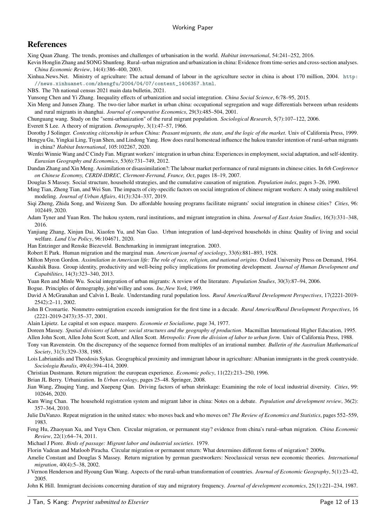# **References**

<span id="page-11-0"></span>Xing Quan Zhang. The trends, promises and challenges of urbanisation in the world. *Habitat international*, 54:241–252, 2016.

<span id="page-11-1"></span>Kevin Honglin Zhang and SONG Shunfeng. Rural–urban migration and urbanization in china: Evidence from time-series and cross-section analyses. *China Economic Review*, 14(4):386–400, 2003.

<span id="page-11-2"></span>Xinhua.News.Net. Ministry of agriculture: The actual demand of labour in the agriculture sector in china is about 170 million, 2004. [http:]( http://news.xinhuanet.com/zhengfu/2004/04/07/content_1406357.html) [//news.xinhuanet.com/zhengfu/2004/04/07/content\\_1406357.html]( http://news.xinhuanet.com/zhengfu/2004/04/07/content_1406357.html).

<span id="page-11-3"></span>NBS. The 7th national census 2021 main data bulletin, 2021.

- <span id="page-11-4"></span>Yunsong Chen and Yi Zhang. Inequality effects of urbanization and social integration. *China Social Science*, 6:78–95, 2015.
- <span id="page-11-5"></span>Xin Meng and Junsen Zhang. The two-tier labor market in urban china: occupational segregation and wage differentials between urban residents and rural migrants in shanghai. *Journal of comparative Economics*, 29(3):485–504, 2001.
- <span id="page-11-6"></span>Chunguang wang. Study on the "semi-urbanization" of the rural migrant population. *Sociological Research*, 5(7):107–122, 2006.

<span id="page-11-7"></span>Everett S Lee. A theory of migration. *Demography*, 3(1):47–57, 1966.

- <span id="page-11-9"></span><span id="page-11-8"></span>Dorothy J Solinger. *Contesting citizenship in urban China: Peasant migrants, the state, and the logic of the market*. Univ of California Press, 1999. Hengyu Gu, Yingkai Ling, Tiyan Shen, and Lindong Yang. How does rural homestead influence the hukou transfer intention of rural-urban migrants in china? *Habitat International*, 105:102267, 2020.
- <span id="page-11-10"></span>Wenfei Winnie Wang and C Cindy Fan. Migrant workers' integration in urban china: Experiences in employment, social adaptation, and self-identity. *Eurasian Geography and Economics*, 53(6):731–749, 2012.
- <span id="page-11-11"></span>Dandan Zhang and Xin Meng. Assimilation or disassimilation?: The labour market performance of rural migrants in chinese cities. In *6th Conference on Chinese Economy, CERDI-IDREC, Clermont-Ferrand, France, Oct*, pages 18–19, 2007.

<span id="page-11-12"></span>Douglas S Massey. Social structure, household strategies, and the cumulative causation of migration. *Population index*, pages 3–26, 1990.

- <span id="page-11-13"></span>Ming Tian, Zheng Tian, and Wei Sun. The impacts of city-specific factors on social integration of chinese migrant workers: A study using multilevel modeling. *Journal of Urban Affairs*, 41(3):324–337, 2019.
- <span id="page-11-14"></span>Siqi Zheng, Zhida Song, and Weizeng Sun. Do affordable housing programs facilitate migrants' social integration in chinese cities? *Cities*, 96: 102449, 2020.
- <span id="page-11-15"></span>Adam Tyner and Yuan Ren. The hukou system, rural institutions, and migrant integration in china. *Journal of East Asian Studies*, 16(3):331–348, 2016.
- <span id="page-11-16"></span>Yanjiang Zhang, Xinjun Dai, Xiaofen Yu, and Nan Gao. Urban integration of land-deprived households in china: Quality of living and social welfare. *Land Use Policy*, 96:104671, 2020.

<span id="page-11-17"></span>Han Entzinger and Renske Biezeveld. Benchmarking in immigrant integration. 2003.

<span id="page-11-18"></span>Robert E Park. Human migration and the marginal man. *American journal of sociology*, 33(6):881–893, 1928.

- <span id="page-11-19"></span>Milton Myron Gordon. *Assimilation in American life: The role of race, religion, and national origins*. Oxford University Press on Demand, 1964.
- <span id="page-11-20"></span>Kaushik Basu. Group identity, productivity and well-being policy implications for promoting development. *Journal of Human Development and Capabilities*, 14(3):323–340, 2013.
- <span id="page-11-21"></span>Yuan Ren and Minle Wu. Social integration of urban migrants: A review of the literature. *Population Studies*, 30(3):87–94, 2006.

<span id="page-11-22"></span>Bogue. Principles of demography, john'willey and sons. *Inc,New York*, 1969.

- <span id="page-11-23"></span>David A McGranahan and Calvin L Beale. Understanding rural population loss. *Rural America/Rural Development Perspectives*, 17(2221-2019- 2542):2–11, 2002.
- <span id="page-11-24"></span>John B Cromartie. Nonmetro outmigration exceeds inmigration for the first time in a decade. *Rural America/Rural Development Perspectives*, 16 (2221-2019-2473):35–37, 2001.

<span id="page-11-25"></span>Alain Lipietz. Le capital et son espace. maspero. *Economie et Socialisme*, page 34, 1977.

<span id="page-11-27"></span><span id="page-11-26"></span>Doreen Massey. *Spatial divisions of labour: social structures and the geography of production*. Macmillan International Higher Education, 1995. Allen John Scott, Allen John Scott Scott, and Allen Scott. *Metropolis: From the division of labor to urban form*. Univ of California Press, 1988.

- <span id="page-11-28"></span>Tony van Ravenstein. On the discrepancy of the sequence formed from multiples of an irrational number. *Bulletin of the Australian Mathematical Society*, 31(3):329–338, 1985.
- <span id="page-11-29"></span>Lois Labrianidis and Theodosis Sykas. Geographical proximity and immigrant labour in agriculture: Albanian immigrants in the greek countryside. *Sociologia Ruralis*, 49(4):394–414, 2009.

<span id="page-11-30"></span>Christian Dustmann. Return migration: the european experience. *Economic policy*, 11(22):213–250, 1996.

<span id="page-11-31"></span>Brian JL Berry. Urbanization. In *Urban ecology*, pages 25–48. Springer, 2008.

- <span id="page-11-32"></span>Jian Wang, Zhuqing Yang, and Xuepeng Qian. Driving factors of urban shrinkage: Examining the role of local industrial diversity. *Cities*, 99: 102646, 2020.
- <span id="page-11-33"></span>Kam Wing Chan. The household registration system and migrant labor in china: Notes on a debate. *Population and development review*, 36(2): 357–364, 2010.

<span id="page-11-34"></span>Julie DaVanzo. Repeat migration in the united states: who moves back and who moves on? *The Review of Economics and Statistics*, pages 552–559, 1983.

<span id="page-11-35"></span>Feng Hu, Zhaoyuan Xu, and Yuyu Chen. Circular migration, or permanent stay? evidence from china's rural–urban migration. *China Economic Review*, 22(1):64–74, 2011.

<span id="page-11-36"></span>Michael J Piore. *Birds of passage: Migrant labor and industrial societies*. 1979.

<span id="page-11-37"></span>Florin Vadean and Matloob Piracha. Circular migration or permanent return: What determines different forms of migration? 2009a.

<span id="page-11-38"></span>Amelie Constant and Douglas S Massey. Return migration by german guestworkers: Neoclassical versus new economic theories. *International migration*, 40(4):5–38, 2002.

<span id="page-11-39"></span>J Vernon Henderson and Hyoung Gun Wang. Aspects of the rural-urban transformation of countries. *Journal of Economic Geography*, 5(1):23–42, 2005.

<span id="page-11-40"></span>John K Hill. Immigrant decisions concerning duration of stay and migratory frequency. *Journal of development economics*, 25(1):221–234, 1987.